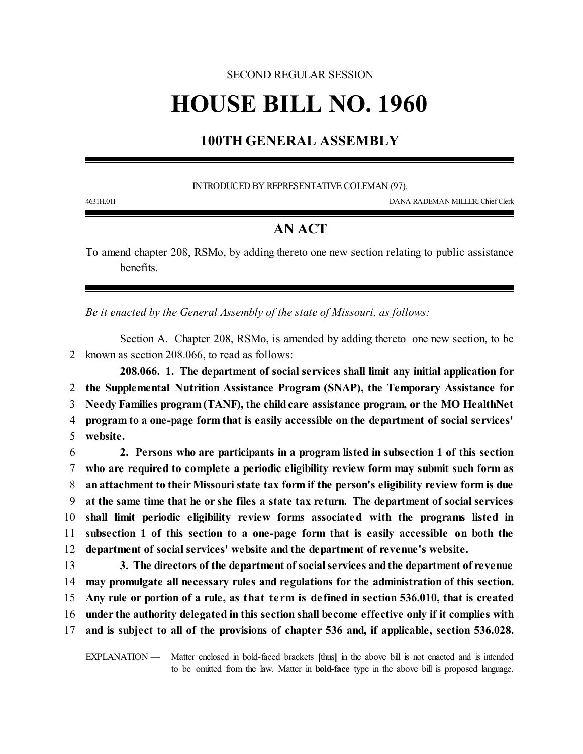#### SECOND REGULAR SESSION

# **HOUSE BILL NO. 1960**

## **100TH GENERAL ASSEMBLY**

INTRODUCED BY REPRESENTATIVE COLEMAN (97).

4631H.01I DANA RADEMAN MILLER, Chief Clerk

## **AN ACT**

To amend chapter 208, RSMo, by adding thereto one new section relating to public assistance benefits.

*Be it enacted by the General Assembly of the state of Missouri, as follows:*

Section A. Chapter 208, RSMo, is amended by adding thereto one new section, to be 2 known as section 208.066, to read as follows:

**208.066. 1. The department of social services shall limit any initial application for** 2 **the Supplemental Nutrition Assistance Program (SNAP), the Temporary Assistance for** 3 **Needy Families program(TANF), the childcare assistance program, or the MO HealthNet** 4 **program to a one-page form that is easily accessible on the department of social services'** 5 **website.**

 **2. Persons who are participants in a program listed in subsection 1 of this section who are required to complete a periodic eligibility review form may submit such form as an attachment to theirMissouri state tax form if the person's eligibility review form is due at the same time that he or she files a state tax return. The department of social services shall limit periodic eligibility review forms associated with the programs listed in subsection 1 of this section to a one-page form that is easily accessible on both the department of social services' website and the department of revenue's website.**

 **3. The directors of the department of socialservices andthe department of revenue may promulgate all necessary rules and regulations for the administration of this section. Any rule or portion of a rule, as that term is defined in section 536.010, that is created under the authority delegated in this section shall become effective only if it complies with and is subject to all of the provisions of chapter 536 and, if applicable, section 536.028.** 

EXPLANATION — Matter enclosed in bold-faced brackets **[**thus**]** in the above bill is not enacted and is intended to be omitted from the law. Matter in **bold-face** type in the above bill is proposed language.